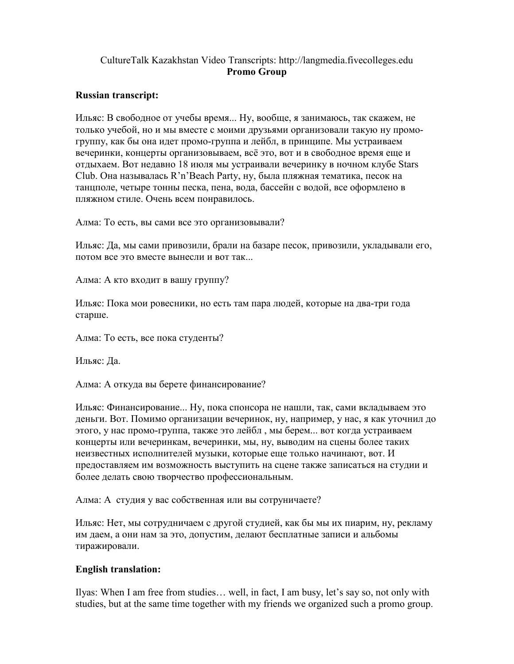## CultureTalk Kazakhstan Video Transcripts: http://langmedia.fivecolleges.edu Promo Group

## Russian transcript:

Ильяс: В свободное от учебы время... Ну, вообще, я занимаюсь, так скажем, не только учебой, но и мы вместе с моими друзьями организовали такую ну промогруппу, как бы она идет промо-группа и лейбл, в принципе. Мы устраиваем вечеринки, концерты организовываем, всё это, вот и в свободное время еще и отдыхаем. Вот недавно 18 июля мы устраивали вечеринку в ночном клубе Stars Club. Она называлась R'n'Beach Party, ну, была пляжная тематика, песок на танцполе, четыре тонны песка, пена, вода, бассейн с водой, все оформлено в пляжном стиле. Очень всем понравилось.

Алма: То есть, вы сами все это организовывали?

Ильяс: Да, мы сами привозили, брали на базаре песок, привозили, укладывали его, потом все это вместе вынесли и вот так...

Алма: А кто входит в вашу группу?

Ильяс: Пока мои ровесники, но есть там пара людей, которые на два-три года старше.

Алма: То есть, все пока студенты?

Ильяс: Да.

Алма: А откуда вы берете финансирование?

Ильяс: Финансирование... Ну, пока спонсора не нашли, так, сами вкладываем это деньги. Вот. Помимо организации вечеринок, ну, например, у нас, я как уточнил до этого, у нас промо-группа, также это лейбл , мы берем... вот когда устраиваем концерты или вечеринкам, вечеринки, мы, ну, выводим на сцены более таких неизвестных исполнителей музыки, которые еще только начинают, вот. И предоставляем им возможность выступить на сцене также записаться на студии и более делать свою творчество профессиональным.

Алма: А студия у вас собственная или вы сотруничаете?

Ильяс: Нет, мы сотрудничаем с другой студией, как бы мы их пиарим, ну, рекламу им даем, а они нам за это, допустим, делают бесплатные записи и альбомы тиражировали.

## English translation:

Ilyas: When I am free from studies… well, in fact, I am busy, let's say so, not only with studies, but at the same time together with my friends we organized such a promo group.